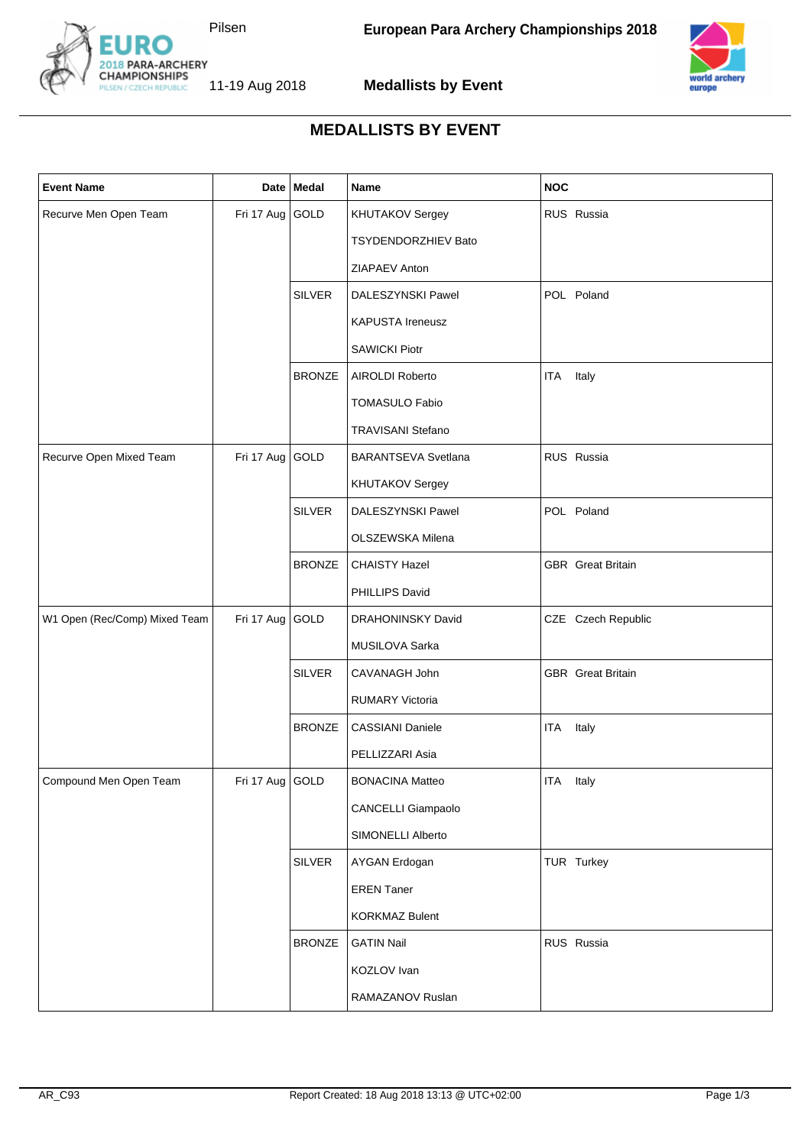



2018 PARA-ARCHERY<br>CHAMPIONSHIPS<br>PILSEN / CZECH REPUBLIC 11-19 Aug 2018

**Medallists by Event**

## **MEDALLISTS BY EVENT**

| <b>Event Name</b>             |                   | Date   Medal  | Name                       | <b>NOC</b>               |
|-------------------------------|-------------------|---------------|----------------------------|--------------------------|
| Recurve Men Open Team         | Fri 17 Aug GOLD   |               | KHUTAKOV Sergey            | RUS Russia               |
|                               |                   |               | TSYDENDORZHIEV Bato        |                          |
|                               |                   |               | ZIAPAEV Anton              |                          |
|                               |                   | <b>SILVER</b> | DALESZYNSKI Pawel          | POL Poland               |
|                               |                   |               | KAPUSTA Ireneusz           |                          |
|                               |                   |               | <b>SAWICKI Piotr</b>       |                          |
|                               |                   | <b>BRONZE</b> | AIROLDI Roberto            | Italy<br>ITA             |
|                               |                   |               | <b>TOMASULO Fabio</b>      |                          |
|                               |                   |               | TRAVISANI Stefano          |                          |
| Recurve Open Mixed Team       | Fri 17 Aug GOLD   |               | <b>BARANTSEVA Svetlana</b> | RUS Russia               |
|                               |                   |               | KHUTAKOV Sergey            |                          |
|                               |                   | <b>SILVER</b> | DALESZYNSKI Pawel          | POL Poland               |
|                               |                   |               | OLSZEWSKA Milena           |                          |
|                               |                   | <b>BRONZE</b> | <b>CHAISTY Hazel</b>       | <b>GBR</b> Great Britain |
|                               |                   |               | PHILLIPS David             |                          |
| W1 Open (Rec/Comp) Mixed Team | Fri 17 Aug GOLD   |               | DRAHONINSKY David          | CZE Czech Republic       |
|                               |                   |               | MUSILOVA Sarka             |                          |
|                               |                   | <b>SILVER</b> | CAVANAGH John              | <b>GBR</b> Great Britain |
|                               |                   |               | <b>RUMARY Victoria</b>     |                          |
|                               |                   | <b>BRONZE</b> | <b>CASSIANI Daniele</b>    | ITA Italy                |
|                               |                   |               | PELLIZZARI Asia            |                          |
| Compound Men Open Team        | Fri 17 Aug   GOLD |               | <b>BONACINA Matteo</b>     | ITA Italy                |
|                               |                   |               | <b>CANCELLI Giampaolo</b>  |                          |
|                               |                   |               | SIMONELLI Alberto          |                          |
|                               |                   | <b>SILVER</b> | AYGAN Erdogan              | TUR Turkey               |
|                               |                   |               | <b>EREN Taner</b>          |                          |
|                               |                   |               | <b>KORKMAZ Bulent</b>      |                          |
|                               |                   | <b>BRONZE</b> | <b>GATIN Nail</b>          | RUS Russia               |
|                               |                   |               | KOZLOV Ivan                |                          |
|                               |                   |               | RAMAZANOV Ruslan           |                          |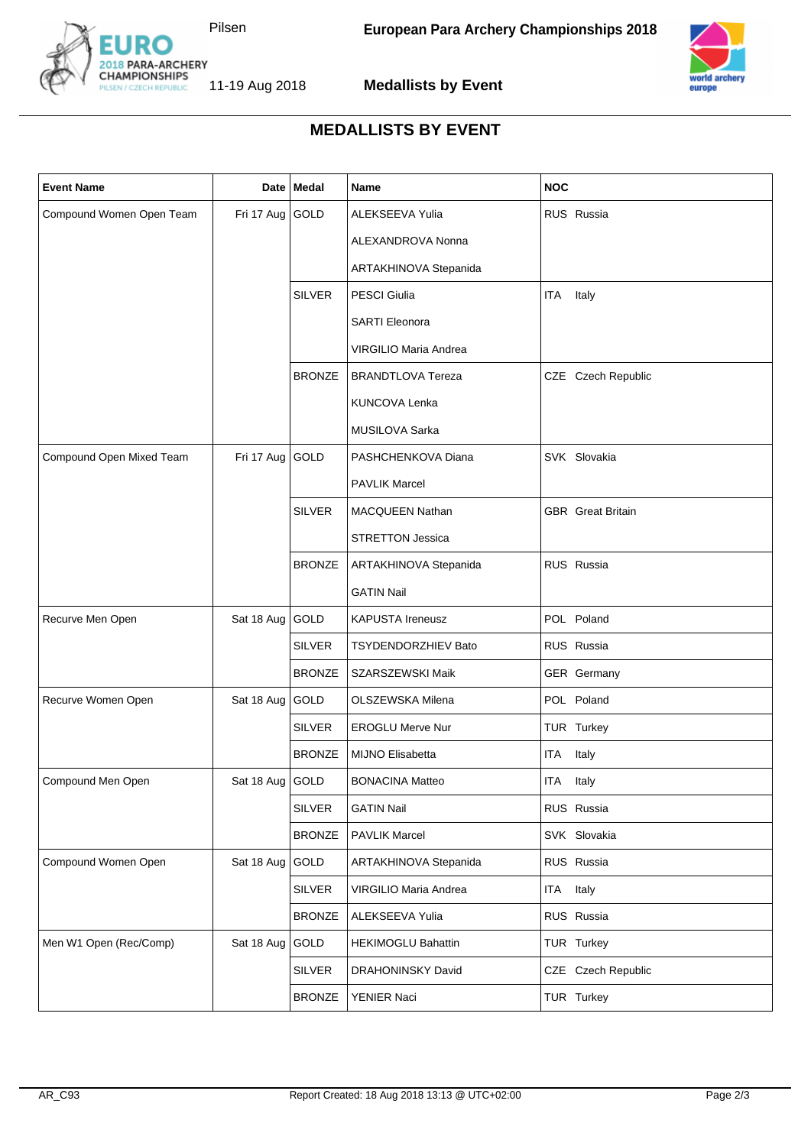



2018 PARA-ARCHERY<br>CHAMPIONSHIPS<br>PILSEN / CZECH REPUBLIC 11-19 Aug 2018

**Medallists by Event**

## **MEDALLISTS BY EVENT**

| <b>Event Name</b>        |                   | Date Medal    | Name                       | <b>NOC</b>               |
|--------------------------|-------------------|---------------|----------------------------|--------------------------|
| Compound Women Open Team | Fri 17 Aug GOLD   |               | ALEKSEEVA Yulia            | RUS Russia               |
|                          |                   |               | ALEXANDROVA Nonna          |                          |
|                          |                   |               | ARTAKHINOVA Stepanida      |                          |
|                          |                   | <b>SILVER</b> | <b>PESCI Giulia</b>        | Italy<br>ITA             |
|                          |                   |               | <b>SARTI Eleonora</b>      |                          |
|                          |                   |               | VIRGILIO Maria Andrea      |                          |
|                          |                   | <b>BRONZE</b> | <b>BRANDTLOVA Tereza</b>   | CZE Czech Republic       |
|                          |                   |               | <b>KUNCOVA Lenka</b>       |                          |
|                          |                   |               | MUSILOVA Sarka             |                          |
| Compound Open Mixed Team | Fri 17 Aug GOLD   |               | PASHCHENKOVA Diana         | SVK Slovakia             |
|                          |                   |               | <b>PAVLIK Marcel</b>       |                          |
|                          |                   | <b>SILVER</b> | <b>MACQUEEN Nathan</b>     | <b>GBR</b> Great Britain |
|                          |                   |               | <b>STRETTON Jessica</b>    |                          |
|                          |                   | <b>BRONZE</b> | ARTAKHINOVA Stepanida      | RUS Russia               |
|                          |                   |               | <b>GATIN Nail</b>          |                          |
| Recurve Men Open         | Sat 18 Aug        | GOLD          | <b>KAPUSTA Ireneusz</b>    | POL Poland               |
|                          |                   | <b>SILVER</b> | <b>TSYDENDORZHIEV Bato</b> | RUS Russia               |
|                          |                   | <b>BRONZE</b> | SZARSZEWSKI Maik           | GER Germany              |
| Recurve Women Open       | Sat 18 Aug GOLD   |               | OLSZEWSKA Milena           | POL Poland               |
|                          |                   | <b>SILVER</b> | <b>EROGLU Merve Nur</b>    | TUR Turkey               |
|                          |                   | <b>BRONZE</b> | <b>MIJNO Elisabetta</b>    | ITA Italy                |
| Compound Men Open        | Sat 18 Aug   GOLD |               | <b>BONACINA Matteo</b>     | ITA<br>Italy             |
|                          |                   | <b>SILVER</b> | <b>GATIN Nail</b>          | RUS Russia               |
|                          |                   | <b>BRONZE</b> | <b>PAVLIK Marcel</b>       | SVK Slovakia             |
| Compound Women Open      | Sat 18 Aug        | GOLD          | ARTAKHINOVA Stepanida      | RUS Russia               |
|                          |                   | <b>SILVER</b> | VIRGILIO Maria Andrea      | ITA Italy                |
|                          |                   | <b>BRONZE</b> | ALEKSEEVA Yulia            | RUS Russia               |
| Men W1 Open (Rec/Comp)   | Sat 18 Aug        | GOLD          | <b>HEKIMOGLU Bahattin</b>  | TUR Turkey               |
|                          |                   | <b>SILVER</b> | DRAHONINSKY David          | CZE Czech Republic       |
|                          |                   | <b>BRONZE</b> | YENIER Naci                | TUR Turkey               |